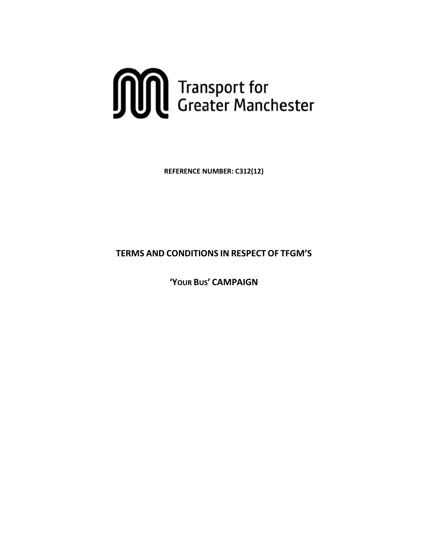

**REFERENCE NUMBER: C312(12)**

**TERMS AND CONDITIONS IN RESPECT OF TFGM'S**

**'YOUR BUS' CAMPAIGN**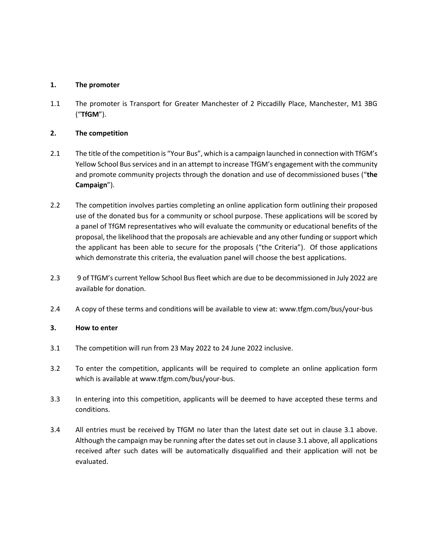### **1. The promoter**

1.1 The promoter is Transport for Greater Manchester of 2 Piccadilly Place, Manchester, M1 3BG ("**TfGM**").

## **2. The competition**

- 2.1 The title of the competition is "Your Bus", which is a campaign launched in connection with TfGM's Yellow School Bus services and in an attempt to increase TfGM's engagement with the community and promote community projects through the donation and use of decommissioned buses ("**the Campaign**").
- 2.2 The competition involves parties completing an online application form outlining their proposed use of the donated bus for a community or school purpose. These applications will be scored by a panel of TfGM representatives who will evaluate the community or educational benefits of the proposal, the likelihood that the proposals are achievable and any other funding or support which the applicant has been able to secure for the proposals ("the Criteria"). Of those applications which demonstrate this criteria, the evaluation panel will choose the best applications.
- 2.3 9 of TfGM's current Yellow School Bus fleet which are due to be decommissioned in July 2022 are available for donation.
- 2.4 A copy of these terms and conditions will be available to view at: www.tfgm.com/bus/your-bus

#### **3. How to enter**

- 3.1 The competition will run from 23 May 2022 to 24 June 2022 inclusive.
- 3.2 To enter the competition, applicants will be required to complete an online application form which is available at www.tfgm.com/bus/your-bus.
- 3.3 In entering into this competition, applicants will be deemed to have accepted these terms and conditions.
- 3.4 All entries must be received by TfGM no later than the latest date set out in clause 3.1 above. Although the campaign may be running after the dates set out in clause 3.1 above, all applications received after such dates will be automatically disqualified and their application will not be evaluated.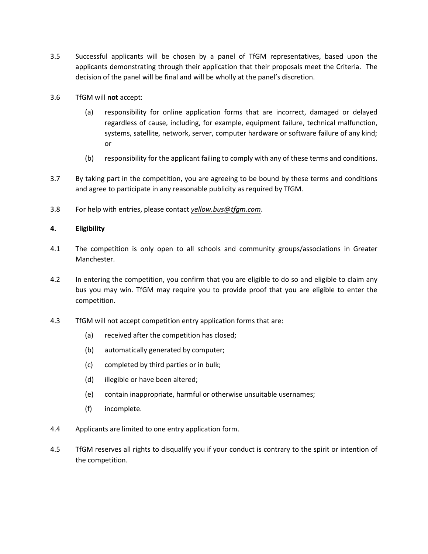- 3.5 Successful applicants will be chosen by a panel of TfGM representatives, based upon the applicants demonstrating through their application that their proposals meet the Criteria. The decision of the panel will be final and will be wholly at the panel's discretion.
- 3.6 TfGM will **not** accept:
	- (a) responsibility for online application forms that are incorrect, damaged or delayed regardless of cause, including, for example, equipment failure, technical malfunction, systems, satellite, network, server, computer hardware or software failure of any kind; or
	- (b) responsibility for the applicant failing to comply with any of these terms and conditions.
- 3.7 By taking part in the competition, you are agreeing to be bound by these terms and conditions and agree to participate in any reasonable publicity as required by TfGM.
- 3.8 For help with entries, please contact *[yellow.bus@tfgm.com](mailto:marketing@tfgm.com)*.

#### **4. Eligibility**

- 4.1 The competition is only open to all schools and community groups/associations in Greater Manchester.
- 4.2 In entering the competition, you confirm that you are eligible to do so and eligible to claim any bus you may win. TfGM may require you to provide proof that you are eligible to enter the competition.
- 4.3 TfGM will not accept competition entry application forms that are:
	- (a) received after the competition has closed;
	- (b) automatically generated by computer;
	- (c) completed by third parties or in bulk;
	- (d) illegible or have been altered;
	- (e) contain inappropriate, harmful or otherwise unsuitable usernames;
	- (f) incomplete.
- 4.4 Applicants are limited to one entry application form.
- 4.5 TfGM reserves all rights to disqualify you if your conduct is contrary to the spirit or intention of the competition.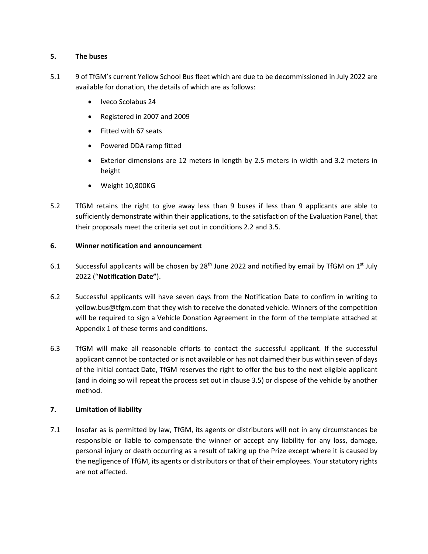### **5. The buses**

- 5.1 9 of TfGM's current Yellow School Bus fleet which are due to be decommissioned in July 2022 are available for donation, the details of which are as follows:
	- Iveco Scolabus 24
	- Registered in 2007 and 2009
	- Fitted with 67 seats
	- Powered DDA ramp fitted
	- Exterior dimensions are 12 meters in length by 2.5 meters in width and 3.2 meters in height
	- Weight 10,800KG
- 5.2 TfGM retains the right to give away less than 9 buses if less than 9 applicants are able to sufficiently demonstrate within their applications, to the satisfaction of the Evaluation Panel, that their proposals meet the criteria set out in conditions 2.2 and 3.5.

### **6. Winner notification and announcement**

- 6.1 Successful applicants will be chosen by 28<sup>th</sup> June 2022 and notified by email by TfGM on  $1^{st}$  July 2022 ("**Notification Date"**).
- 6.2 Successful applicants will have seven days from the Notification Date to confirm in writing to yellow.bus@tfgm.com that they wish to receive the donated vehicle. Winners of the competition will be required to sign a Vehicle Donation Agreement in the form of the template attached at Appendix 1 of these terms and conditions.
- 6.3 TfGM will make all reasonable efforts to contact the successful applicant. If the successful applicant cannot be contacted or is not available or has not claimed their bus within seven of days of the initial contact Date, TfGM reserves the right to offer the bus to the next eligible applicant (and in doing so will repeat the process set out in clause 3.5) or dispose of the vehicle by another method.

## **7. Limitation of liability**

7.1 Insofar as is permitted by law, TfGM, its agents or distributors will not in any circumstances be responsible or liable to compensate the winner or accept any liability for any loss, damage, personal injury or death occurring as a result of taking up the Prize except where it is caused by the negligence of TfGM, its agents or distributors or that of their employees. Your statutory rights are not affected.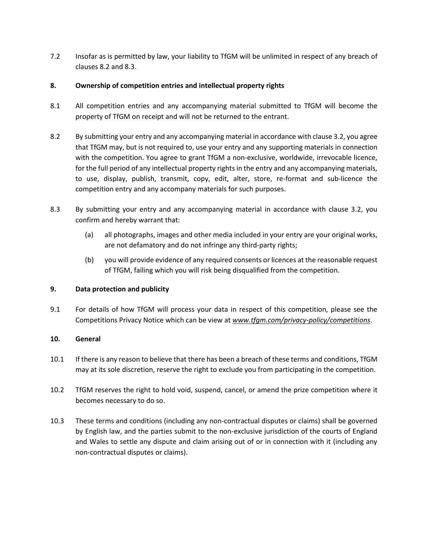7.2 Insofar as is permitted by law, your liability to TfGM will be unlimited in respect of any breach of clauses 8.2 and 8.3.

#### **8. Ownership of competition entries and intellectual property rights**

- 8.1 All competition entries and any accompanying material submitted to TfGM will become the property of TfGM on receipt and will not be returned to the entrant.
- 8.2 By submitting your entry and any accompanying material in accordance with clause 3.2, you agree that TfGM may, but is not required to, use your entry and any supporting materials in connection with the competition. You agree to grant TfGM a non-exclusive, worldwide, irrevocable licence, for the full period of any intellectual property rights in the entry and any accompanying materials, to use, display, publish, transmit, copy, edit, alter, store, re-format and sub-licence the competition entry and any accompany materials for such purposes.
- 8.3 By submitting your entry and any accompanying material in accordance with clause 3.2, you confirm and hereby warrant that:
	- (a) all photographs, images and other media included in your entry are your original works, are not defamatory and do not infringe any third-party rights;
	- (b) you will provide evidence of any required consents or licences at the reasonable request of TfGM, failing which you will risk being disqualified from the competition.

#### **9. Data protection and publicity**

9.1 For details of how TfGM will process your data in respect of this competition, please see the Competitions Privacy Notice which can be view at *[www.tfgm.com/privacy-policy/competitions](http://www.tfgm.com/privacy-policy/competitions)*.

#### **10. General**

- 10.1 If there is any reason to believe that there has been a breach of these terms and conditions, TfGM may at its sole discretion, reserve the right to exclude you from participating in the competition.
- 10.2 TfGM reserves the right to hold void, suspend, cancel, or amend the prize competition where it becomes necessary to do so.
- 10.3 These terms and conditions (including any non-contractual disputes or claims) shall be governed by English law, and the parties submit to the non-exclusive jurisdiction of the courts of England and Wales to settle any dispute and claim arising out of or in connection with it (including any non-contractual disputes or claims).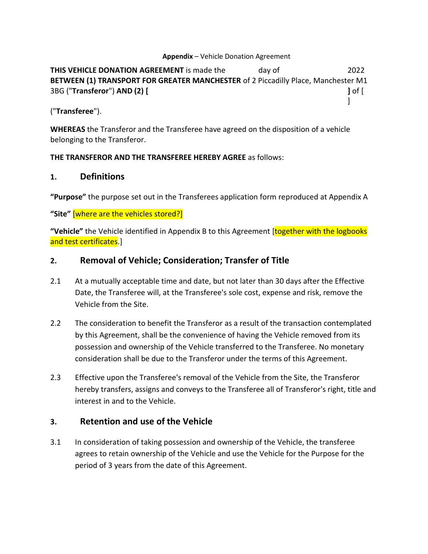## **Appendix** – Vehicle Donation Agreement

**THIS VEHICLE DONATION AGREEMENT** is made the day of 2022 **BETWEEN (1) TRANSPORT FOR GREATER MANCHESTER** of 2 Piccadilly Place, Manchester M1 3BG ("**Transferor**") **AND (2) [ ]** of [  $\mathbf{I}$ 

("**Transferee**").

**WHEREAS** the Transferor and the Transferee have agreed on the disposition of a vehicle belonging to the Transferor.

## **THE TRANSFEROR AND THE TRANSFEREE HEREBY AGREE** as follows:

# **1. Definitions**

**"Purpose"** the purpose set out in the Transferees application form reproduced at Appendix A

**"Site"** [where are the vehicles stored?]

**"Vehicle"** the Vehicle identified in Appendix B to this Agreement [together with the logbooks and test certificates.]

# **2. Removal of Vehicle; Consideration; Transfer of Title**

- 2.1 At a mutually acceptable time and date, but not later than 30 days after the Effective Date, the Transferee will, at the Transferee's sole cost, expense and risk, remove the Vehicle from the Site.
- 2.2 The consideration to benefit the Transferor as a result of the transaction contemplated by this Agreement, shall be the convenience of having the Vehicle removed from its possession and ownership of the Vehicle transferred to the Transferee. No monetary consideration shall be due to the Transferor under the terms of this Agreement.
- 2.3 Effective upon the Transferee's removal of the Vehicle from the Site, the Transferor hereby transfers, assigns and conveys to the Transferee all of Transferor's right, title and interest in and to the Vehicle.

# **3. Retention and use of the Vehicle**

3.1 In consideration of taking possession and ownership of the Vehicle, the transferee agrees to retain ownership of the Vehicle and use the Vehicle for the Purpose for the period of 3 years from the date of this Agreement.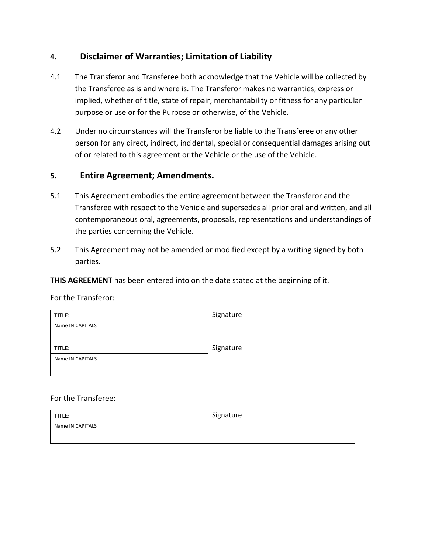# **4. Disclaimer of Warranties; Limitation of Liability**

- 4.1 The Transferor and Transferee both acknowledge that the Vehicle will be collected by the Transferee as is and where is. The Transferor makes no warranties, express or implied, whether of title, state of repair, merchantability or fitness for any particular purpose or use or for the Purpose or otherwise, of the Vehicle.
- 4.2 Under no circumstances will the Transferor be liable to the Transferee or any other person for any direct, indirect, incidental, special or consequential damages arising out of or related to this agreement or the Vehicle or the use of the Vehicle.

# **5. Entire Agreement; Amendments.**

- 5.1 This Agreement embodies the entire agreement between the Transferor and the Transferee with respect to the Vehicle and supersedes all prior oral and written, and all contemporaneous oral, agreements, proposals, representations and understandings of the parties concerning the Vehicle.
- 5.2 This Agreement may not be amended or modified except by a writing signed by both parties.

**THIS AGREEMENT** has been entered into on the date stated at the beginning of it.

| TITLE:           | Signature |
|------------------|-----------|
| Name IN CAPITALS |           |
|                  |           |
| TITLE:           | Signature |
| Name IN CAPITALS |           |
|                  |           |

For the Transferor:

## For the Transferee:

| TITLE:           | Signature |
|------------------|-----------|
| Name IN CAPITALS |           |
|                  |           |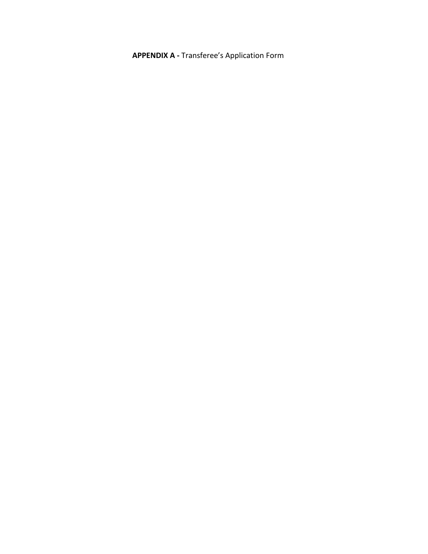**APPENDIX A -** Transferee's Application Form